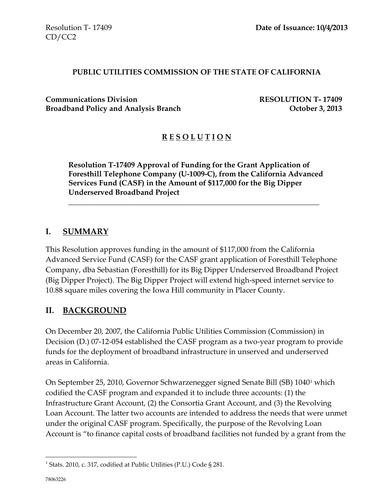#### **PUBLIC UTILITIES COMMISSION OF THE STATE OF CALIFORNIA**

**Communications Division RESOLUTION T- 17409 Broadband Policy and Analysis Branch Contract Contract Contract Contract Contract Contract October 3, 2013** 

### **R E S O L U T I O N**

**Resolution T-17409 Approval of Funding for the Grant Application of Foresthill Telephone Company (U-1009-C), from the California Advanced Services Fund (CASF) in the Amount of \$117,000 for the Big Dipper Underserved Broadband Project**

\_\_\_\_\_\_\_\_\_\_\_\_\_\_\_\_\_\_\_\_\_\_\_\_\_\_\_\_\_\_\_\_\_\_\_\_\_\_\_\_\_\_\_\_\_\_\_\_\_\_\_\_\_\_\_\_\_\_\_\_\_\_\_\_\_\_

### **I. SUMMARY**

This Resolution approves funding in the amount of \$117,000 from the California Advanced Service Fund (CASF) for the CASF grant application of Foresthill Telephone Company, dba Sebastian (Foresthill) for its Big Dipper Underserved Broadband Project (Big Dipper Project). The Big Dipper Project will extend high-speed internet service to 10.88 square miles covering the Iowa Hill community in Placer County.

### **II. BACKGROUND**

On December 20, 2007, the California Public Utilities Commission (Commission) in Decision (D.) 07-12-054 established the CASF program as a two-year program to provide funds for the deployment of broadband infrastructure in unserved and underserved areas in California.

On September 25, 2010, Governor Schwarzenegger signed Senate Bill (SB) 1040<sup>1</sup> which codified the CASF program and expanded it to include three accounts: (1) the Infrastructure Grant Account, (2) the Consortia Grant Account, and (3) the Revolving Loan Account. The latter two accounts are intended to address the needs that were unmet under the original CASF program. Specifically, the purpose of the Revolving Loan Account is "to finance capital costs of broadband facilities not funded by a grant from the

 $\overline{a}$ 

<sup>&</sup>lt;sup>1</sup> Stats. 2010, c. 317, codified at Public Utilities (P.U.) Code § 281.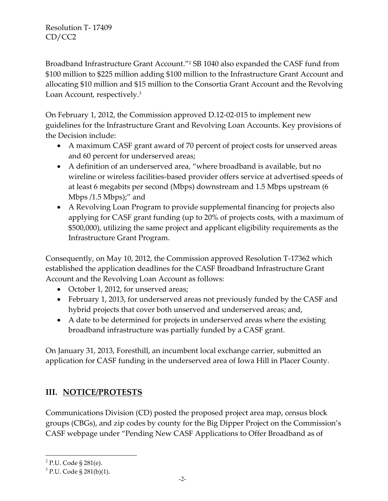Broadband Infrastructure Grant Account."<sup>2</sup> SB 1040 also expanded the CASF fund from \$100 million to \$225 million adding \$100 million to the Infrastructure Grant Account and allocating \$10 million and \$15 million to the Consortia Grant Account and the Revolving Loan Account, respectively.<sup>3</sup>

On February 1, 2012, the Commission approved D.12-02-015 to implement new guidelines for the Infrastructure Grant and Revolving Loan Accounts. Key provisions of the Decision include:

- A maximum CASF grant award of 70 percent of project costs for unserved areas and 60 percent for underserved areas;
- A definition of an underserved area, "where broadband is available, but no wireline or wireless facilities-based provider offers service at advertised speeds of at least 6 megabits per second (Mbps) downstream and 1.5 Mbps upstream (6 Mbps /1.5 Mbps);" and
- A Revolving Loan Program to provide supplemental financing for projects also applying for CASF grant funding (up to 20% of projects costs, with a maximum of \$500,000), utilizing the same project and applicant eligibility requirements as the Infrastructure Grant Program.

Consequently, on May 10, 2012, the Commission approved Resolution T-17362 which established the application deadlines for the CASF Broadband Infrastructure Grant Account and the Revolving Loan Account as follows:

- October 1, 2012, for unserved areas;
- February 1, 2013, for underserved areas not previously funded by the CASF and hybrid projects that cover both unserved and underserved areas; and,
- A date to be determined for projects in underserved areas where the existing broadband infrastructure was partially funded by a CASF grant.

On January 31, 2013, Foresthill, an incumbent local exchange carrier, submitted an application for CASF funding in the underserved area of Iowa Hill in Placer County.

# **III. NOTICE/PROTESTS**

Communications Division (CD) posted the proposed project area map, census block groups (CBGs), and zip codes by county for the Big Dipper Project on the Commission's CASF webpage under "Pending New CASF Applications to Offer Broadband as of

 $\overline{a}$ 

<sup>&</sup>lt;sup>2</sup> P.U. Code § 281(e).

 $3$  P.U. Code § 281(b)(1).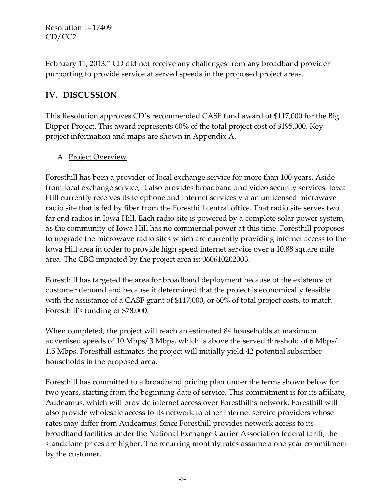February 11, 2013." CD did not receive any challenges from any broadband provider purporting to provide service at served speeds in the proposed project areas.

# **IV. DISCUSSION**

This Resolution approves CD's recommended CASF fund award of \$117,000 for the Big Dipper Project. This award represents 60% of the total project cost of \$195,000. Key project information and maps are shown in Appendix A.

### A. Project Overview

Foresthill has been a provider of local exchange service for more than 100 years. Aside from local exchange service, it also provides broadband and video security services. Iowa Hill currently receives its telephone and internet services via an unlicensed microwave radio site that is fed by fiber from the Foresthill central office. That radio site serves two far end radios in Iowa Hill. Each radio site is powered by a complete solar power system, as the community of Iowa Hill has no commercial power at this time. Foresthill proposes to upgrade the microwave radio sites which are currently providing internet access to the Iowa Hill area in order to provide high speed internet service over a 10.88 square mile area. The CBG impacted by the project area is: 060610202003.

Foresthill has targeted the area for broadband deployment because of the existence of customer demand and because it determined that the project is economically feasible with the assistance of a CASF grant of \$117,000, or 60% of total project costs, to match Foresthill's funding of \$78,000.

When completed, the project will reach an estimated 84 households at maximum advertised speeds of 10 Mbps/ 3 Mbps, which is above the served threshold of 6 Mbps/ 1.5 Mbps. Foresthill estimates the project will initially yield 42 potential subscriber households in the proposed area.

Foresthill has committed to a broadband pricing plan under the terms shown below for two years, starting from the beginning date of service. This commitment is for its affiliate, Audeamus, which will provide internet access over Foresthill's network. Foresthill will also provide wholesale access to its network to other internet service providers whose rates may differ from Audeamus. Since Foresthill provides network access to its broadband facilities under the National Exchange Carrier Association federal tariff, the standalone prices are higher. The recurring monthly rates assume a one year commitment by the customer.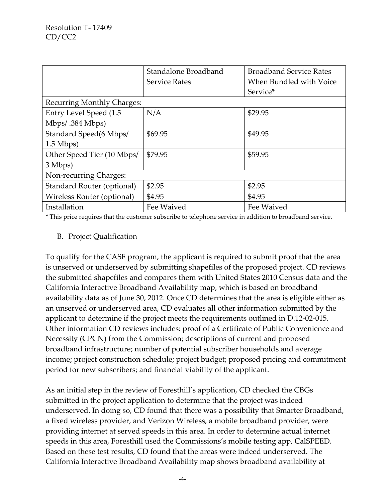|                                   | Standalone Broadband | <b>Broadband Service Rates</b> |  |
|-----------------------------------|----------------------|--------------------------------|--|
|                                   | <b>Service Rates</b> | When Bundled with Voice        |  |
|                                   |                      | Service*                       |  |
| <b>Recurring Monthly Charges:</b> |                      |                                |  |
| Entry Level Speed (1.5            | N/A                  | \$29.95                        |  |
| Mbps/.384 Mbps)                   |                      |                                |  |
| Standard Speed(6 Mbps/            | \$69.95              | \$49.95                        |  |
| $1.5$ Mbps)                       |                      |                                |  |
| Other Speed Tier (10 Mbps/        | \$79.95              | \$59.95                        |  |
| 3 Mbps)                           |                      |                                |  |
| Non-recurring Charges:            |                      |                                |  |
| Standard Router (optional)        | \$2.95               | \$2.95                         |  |
| Wireless Router (optional)        | \$4.95               | \$4.95                         |  |
| Installation                      | Fee Waived           | Fee Waived                     |  |

\* This price requires that the customer subscribe to telephone service in addition to broadband service.

#### B. Project Qualification

To qualify for the CASF program, the applicant is required to submit proof that the area is unserved or underserved by submitting shapefiles of the proposed project. CD reviews the submitted shapefiles and compares them with United States 2010 Census data and the California Interactive Broadband Availability map, which is based on broadband availability data as of June 30, 2012. Once CD determines that the area is eligible either as an unserved or underserved area, CD evaluates all other information submitted by the applicant to determine if the project meets the requirements outlined in D.12-02-015. Other information CD reviews includes: proof of a Certificate of Public Convenience and Necessity (CPCN) from the Commission; descriptions of current and proposed broadband infrastructure; number of potential subscriber households and average income; project construction schedule; project budget; proposed pricing and commitment period for new subscribers; and financial viability of the applicant.

As an initial step in the review of Foresthill's application, CD checked the CBGs submitted in the project application to determine that the project was indeed underserved. In doing so, CD found that there was a possibility that Smarter Broadband, a fixed wireless provider, and Verizon Wireless, a mobile broadband provider, were providing internet at served speeds in this area. In order to determine actual internet speeds in this area, Foresthill used the Commissions's mobile testing app, CalSPEED. Based on these test results, CD found that the areas were indeed underserved. The California Interactive Broadband Availability map shows broadband availability at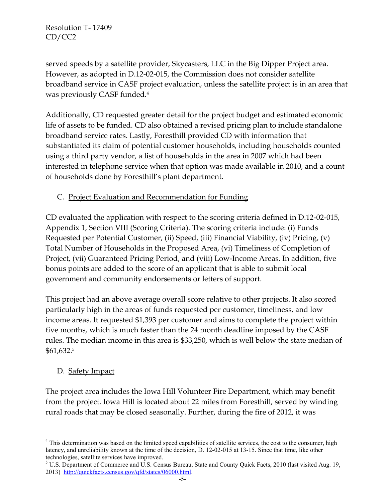served speeds by a satellite provider, Skycasters, LLC in the Big Dipper Project area. However, as adopted in D.12-02-015, the Commission does not consider satellite broadband service in CASF project evaluation, unless the satellite project is in an area that was previously CASF funded.<sup>4</sup>

Additionally, CD requested greater detail for the project budget and estimated economic life of assets to be funded. CD also obtained a revised pricing plan to include standalone broadband service rates. Lastly, Foresthill provided CD with information that substantiated its claim of potential customer households, including households counted using a third party vendor, a list of households in the area in 2007 which had been interested in telephone service when that option was made available in 2010, and a count of households done by Foresthill's plant department.

## C. Project Evaluation and Recommendation for Funding

CD evaluated the application with respect to the scoring criteria defined in D.12-02-015, Appendix 1, Section VIII (Scoring Criteria). The scoring criteria include: (i) Funds Requested per Potential Customer, (ii) Speed, (iii) Financial Viability, (iv) Pricing, (v) Total Number of Households in the Proposed Area, (vi) Timeliness of Completion of Project, (vii) Guaranteed Pricing Period, and (viii) Low-Income Areas. In addition, five bonus points are added to the score of an applicant that is able to submit local government and community endorsements or letters of support.

This project had an above average overall score relative to other projects. It also scored particularly high in the areas of funds requested per customer, timeliness, and low income areas. It requested \$1,393 per customer and aims to complete the project within five months, which is much faster than the 24 month deadline imposed by the CASF rules. The median income in this area is \$33,250, which is well below the state median of \$61,632.<sup>5</sup>

## D. Safety Impact

l

The project area includes the Iowa Hill Volunteer Fire Department, which may benefit from the project. Iowa Hill is located about 22 miles from Foresthill, served by winding rural roads that may be closed seasonally. Further, during the fire of 2012, it was

<sup>&</sup>lt;sup>4</sup> This determination was based on the limited speed capabilities of satellite services, the cost to the consumer, high latency, and unreliability known at the time of the decision, D. 12-02-015 at 13-15. Since that time, like other technologies, satellite services have improved.

<sup>&</sup>lt;sup>5</sup> U.S. Department of Commerce and U.S. Census Bureau, State and County Quick Facts, 2010 (last visited Aug. 19, 2013) [http://quickfacts.census.gov/qfd/states/06000.html.](http://quickfacts.census.gov/qfd/states/06000.html)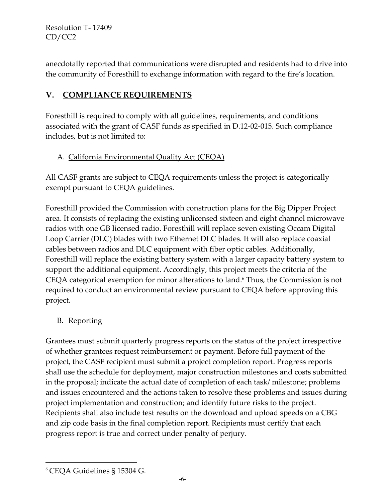anecdotally reported that communications were disrupted and residents had to drive into the community of Foresthill to exchange information with regard to the fire's location.

# **V. COMPLIANCE REQUIREMENTS**

Foresthill is required to comply with all guidelines, requirements, and conditions associated with the grant of CASF funds as specified in D.12-02-015. Such compliance includes, but is not limited to:

# A. California Environmental Quality Act (CEQA)

All CASF grants are subject to CEQA requirements unless the project is categorically exempt pursuant to CEQA guidelines.

Foresthill provided the Commission with construction plans for the Big Dipper Project area. It consists of replacing the existing unlicensed sixteen and eight channel microwave radios with one GB licensed radio. Foresthill will replace seven existing Occam Digital Loop Carrier (DLC) blades with two Ethernet DLC blades. It will also replace coaxial cables between radios and DLC equipment with fiber optic cables. Additionally, Foresthill will replace the existing battery system with a larger capacity battery system to support the additional equipment. Accordingly, this project meets the criteria of the CEQA categorical exemption for minor alterations to land. <sup>6</sup> Thus, the Commission is not required to conduct an environmental review pursuant to CEQA before approving this project.

# B. Reporting

Grantees must submit quarterly progress reports on the status of the project irrespective of whether grantees request reimbursement or payment. Before full payment of the project, the CASF recipient must submit a project completion report. Progress reports shall use the schedule for deployment, major construction milestones and costs submitted in the proposal; indicate the actual date of completion of each task/ milestone; problems and issues encountered and the actions taken to resolve these problems and issues during project implementation and construction; and identify future risks to the project. Recipients shall also include test results on the download and upload speeds on a CBG and zip code basis in the final completion report. Recipients must certify that each progress report is true and correct under penalty of perjury.

l

<sup>6</sup> CEQA Guidelines § 15304 G.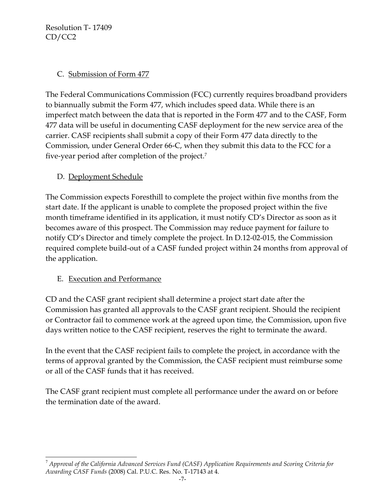### C. Submission of Form 477

The Federal Communications Commission (FCC) currently requires broadband providers to biannually submit the Form 477, which includes speed data. While there is an imperfect match between the data that is reported in the Form 477 and to the CASF, Form 477 data will be useful in documenting CASF deployment for the new service area of the carrier. CASF recipients shall submit a copy of their Form 477 data directly to the Commission, under General Order 66-C, when they submit this data to the FCC for a five-year period after completion of the project. $^7$ 

D. Deployment Schedule

The Commission expects Foresthill to complete the project within five months from the start date. If the applicant is unable to complete the proposed project within the five month timeframe identified in its application, it must notify CD's Director as soon as it becomes aware of this prospect. The Commission may reduce payment for failure to notify CD's Director and timely complete the project. In D.12-02-015, the Commission required complete build-out of a CASF funded project within 24 months from approval of the application.

## E. Execution and Performance

l

CD and the CASF grant recipient shall determine a project start date after the Commission has granted all approvals to the CASF grant recipient. Should the recipient or Contractor fail to commence work at the agreed upon time, the Commission, upon five days written notice to the CASF recipient, reserves the right to terminate the award.

In the event that the CASF recipient fails to complete the project, in accordance with the terms of approval granted by the Commission, the CASF recipient must reimburse some or all of the CASF funds that it has received.

The CASF grant recipient must complete all performance under the award on or before the termination date of the award.

<sup>7</sup> *Approval of the California Advanced Services Fund (CASF) Application Requirements and Scoring Criteria for Awarding CASF Funds* (2008) Cal. P.U.C. Res. No. T-17143 at 4.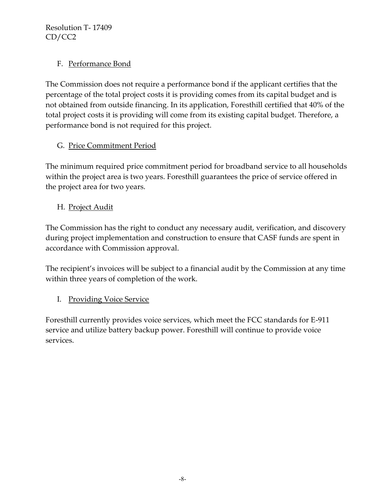## F. Performance Bond

The Commission does not require a performance bond if the applicant certifies that the percentage of the total project costs it is providing comes from its capital budget and is not obtained from outside financing. In its application, Foresthill certified that 40% of the total project costs it is providing will come from its existing capital budget. Therefore, a performance bond is not required for this project.

# G. Price Commitment Period

The minimum required price commitment period for broadband service to all households within the project area is two years. Foresthill guarantees the price of service offered in the project area for two years.

# H. Project Audit

The Commission has the right to conduct any necessary audit, verification, and discovery during project implementation and construction to ensure that CASF funds are spent in accordance with Commission approval.

The recipient's invoices will be subject to a financial audit by the Commission at any time within three years of completion of the work.

## I. Providing Voice Service

Foresthill currently provides voice services, which meet the FCC standards for E-911 service and utilize battery backup power. Foresthill will continue to provide voice services.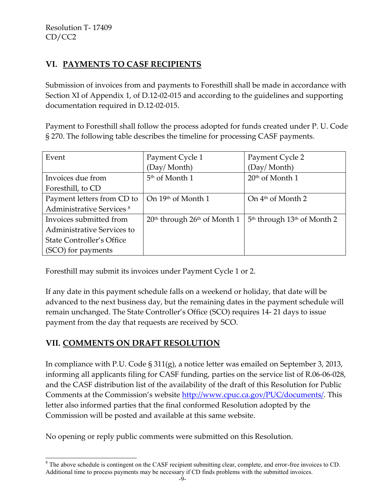# **VI. PAYMENTS TO CASF RECIPIENTS**

Submission of invoices from and payments to Foresthill shall be made in accordance with Section XI of Appendix 1, of D.12-02-015 and according to the guidelines and supporting documentation required in D.12-02-015.

Payment to Foresthill shall follow the process adopted for funds created under P. U. Code § 270. The following table describes the timeline for processing CASF payments.

| Event                                | Payment Cycle 1                  | Payment Cycle 2                 |
|--------------------------------------|----------------------------------|---------------------------------|
|                                      | (Day/Month)                      | (Day/Month)                     |
| Invoices due from                    | 5 <sup>th</sup> of Month 1       | $20th$ of Month 1               |
| Foresthill, to CD                    |                                  |                                 |
| Payment letters from CD to           | On 19th of Month 1               | On $4th$ of Month 2             |
| Administrative Services <sup>8</sup> |                                  |                                 |
| Invoices submitted from              | $20th$ through $26th$ of Month 1 | $5th$ through $13th$ of Month 2 |
| Administrative Services to           |                                  |                                 |
| <b>State Controller's Office</b>     |                                  |                                 |
| (SCO) for payments                   |                                  |                                 |

Foresthill may submit its invoices under Payment Cycle 1 or 2.

If any date in this payment schedule falls on a weekend or holiday, that date will be advanced to the next business day, but the remaining dates in the payment schedule will remain unchanged. The State Controller's Office (SCO) requires 14- 21 days to issue payment from the day that requests are received by SCO.

# **VII. COMMENTS ON DRAFT RESOLUTION**

In compliance with P.U. Code § 311(g), a notice letter was emailed on September 3, 2013, informing all applicants filing for CASF funding, parties on the service list of R.06-06-028, and the CASF distribution list of the availability of the draft of this Resolution for Public Comments at the Commission's website [http://www.cpuc.ca.gov/PUC/documents/.](http://www.cpuc.ca.gov/PUC/documents/) This letter also informed parties that the final conformed Resolution adopted by the Commission will be posted and available at this same website.

No opening or reply public comments were submitted on this Resolution.

 $\overline{a}$ <sup>8</sup> The above schedule is contingent on the CASF recipient submitting clear, complete, and error-free invoices to CD. Additional time to process payments may be necessary if CD finds problems with the submitted invoices.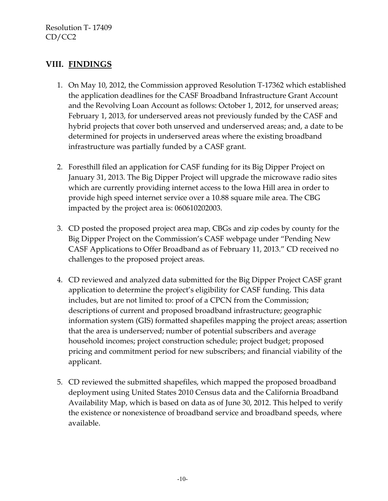## **VIII. FINDINGS**

- 1. On May 10, 2012, the Commission approved Resolution T-17362 which established the application deadlines for the CASF Broadband Infrastructure Grant Account and the Revolving Loan Account as follows: October 1, 2012, for unserved areas; February 1, 2013, for underserved areas not previously funded by the CASF and hybrid projects that cover both unserved and underserved areas; and, a date to be determined for projects in underserved areas where the existing broadband infrastructure was partially funded by a CASF grant.
- 2. Foresthill filed an application for CASF funding for its Big Dipper Project on January 31, 2013. The Big Dipper Project will upgrade the microwave radio sites which are currently providing internet access to the Iowa Hill area in order to provide high speed internet service over a 10.88 square mile area. The CBG impacted by the project area is: 060610202003.
- 3. CD posted the proposed project area map, CBGs and zip codes by county for the Big Dipper Project on the Commission's CASF webpage under "Pending New CASF Applications to Offer Broadband as of February 11, 2013." CD received no challenges to the proposed project areas.
- 4. CD reviewed and analyzed data submitted for the Big Dipper Project CASF grant application to determine the project's eligibility for CASF funding. This data includes, but are not limited to: proof of a CPCN from the Commission; descriptions of current and proposed broadband infrastructure; geographic information system (GIS) formatted shapefiles mapping the project areas; assertion that the area is underserved; number of potential subscribers and average household incomes; project construction schedule; project budget; proposed pricing and commitment period for new subscribers; and financial viability of the applicant.
- 5. CD reviewed the submitted shapefiles, which mapped the proposed broadband deployment using United States 2010 Census data and the California Broadband Availability Map, which is based on data as of June 30, 2012. This helped to verify the existence or nonexistence of broadband service and broadband speeds, where available.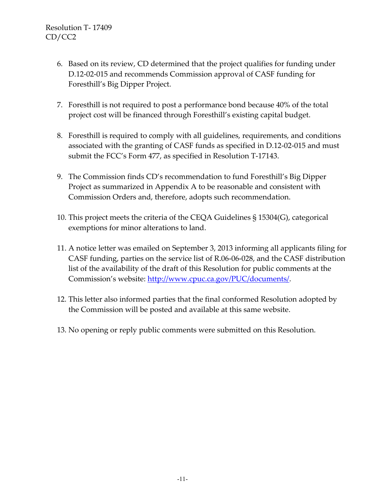- 6. Based on its review, CD determined that the project qualifies for funding under D.12-02-015 and recommends Commission approval of CASF funding for Foresthill's Big Dipper Project.
- 7. Foresthill is not required to post a performance bond because 40% of the total project cost will be financed through Foresthill's existing capital budget.
- 8. Foresthill is required to comply with all guidelines, requirements, and conditions associated with the granting of CASF funds as specified in D.12-02-015 and must submit the FCC's Form 477, as specified in Resolution T-17143.
- 9. The Commission finds CD's recommendation to fund Foresthill's Big Dipper Project as summarized in Appendix A to be reasonable and consistent with Commission Orders and, therefore, adopts such recommendation.
- 10. This project meets the criteria of the CEQA Guidelines § 15304(G), categorical exemptions for minor alterations to land.
- 11. A notice letter was emailed on September 3, 2013 informing all applicants filing for CASF funding, parties on the service list of R.06-06-028, and the CASF distribution list of the availability of the draft of this Resolution for public comments at the Commission's website: [http://www.cpuc.ca.gov/PUC/documents/.](http://www.cpuc.ca.gov/PUC/documents/)
- 12. This letter also informed parties that the final conformed Resolution adopted by the Commission will be posted and available at this same website.
- 13. No opening or reply public comments were submitted on this Resolution.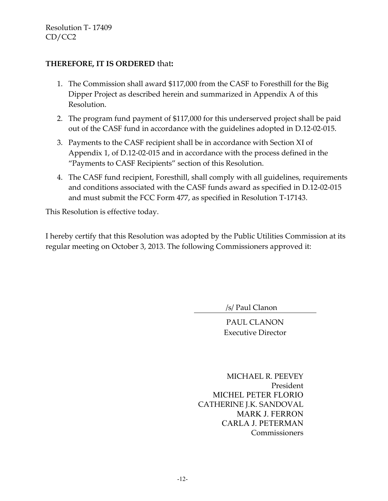#### **THEREFORE, IT IS ORDERED** that**:**

- 1. The Commission shall award \$117,000 from the CASF to Foresthill for the Big Dipper Project as described herein and summarized in Appendix A of this Resolution.
- 2. The program fund payment of \$117,000 for this underserved project shall be paid out of the CASF fund in accordance with the guidelines adopted in D.12-02-015.
- 3. Payments to the CASF recipient shall be in accordance with Section XI of Appendix 1, of D.12-02-015 and in accordance with the process defined in the "Payments to CASF Recipients" section of this Resolution.
- 4. The CASF fund recipient, Foresthill, shall comply with all guidelines, requirements and conditions associated with the CASF funds award as specified in D.12-02-015 and must submit the FCC Form 477, as specified in Resolution T-17143.

This Resolution is effective today.

I hereby certify that this Resolution was adopted by the Public Utilities Commission at its regular meeting on October 3, 2013. The following Commissioners approved it:

/s/ Paul Clanon

PAUL CLANON Executive Director

 MICHAEL R. PEEVEY President MICHEL PETER FLORIO CATHERINE J.K. SANDOVAL MARK J. FERRON CARLA J. PETERMAN **Commissioners**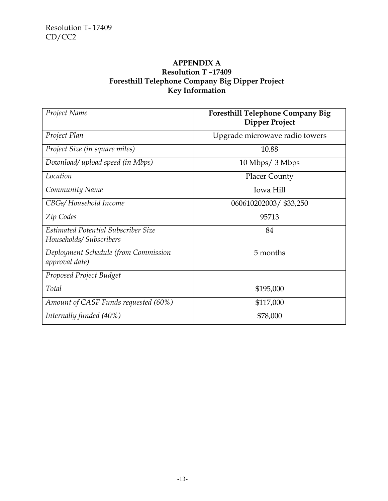#### **APPENDIX A Resolution T –17409 Foresthill Telephone Company Big Dipper Project Key Information**

| Project Name                                                         | <b>Foresthill Telephone Company Big</b><br><b>Dipper Project</b> |
|----------------------------------------------------------------------|------------------------------------------------------------------|
| Project Plan                                                         | Upgrade microwave radio towers                                   |
| Project Size (in square miles)                                       | 10.88                                                            |
| Download/ upload speed (in Mbps)                                     | $10 \text{ Mbps} / 3 \text{ Mbps}$                               |
| Location                                                             | <b>Placer County</b>                                             |
| Community Name                                                       | Iowa Hill                                                        |
| CBGs/Household Income                                                | 060610202003/ \$33,250                                           |
| Zip Codes                                                            | 95713                                                            |
| <b>Estimated Potential Subscriber Size</b><br>Households/Subscribers | 84                                                               |
| Deployment Schedule (from Commission<br>approval date)               | 5 months                                                         |
| Proposed Project Budget                                              |                                                                  |
| Total                                                                | \$195,000                                                        |
| Amount of CASF Funds requested (60%)                                 | \$117,000                                                        |
| Internally funded (40%)                                              | \$78,000                                                         |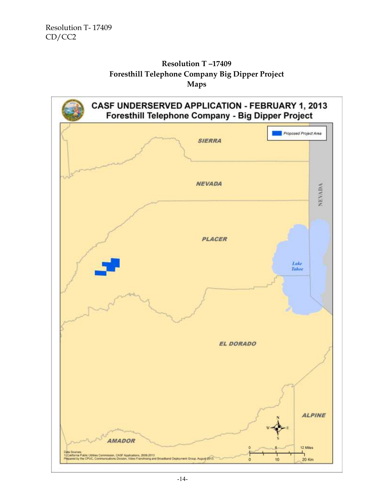